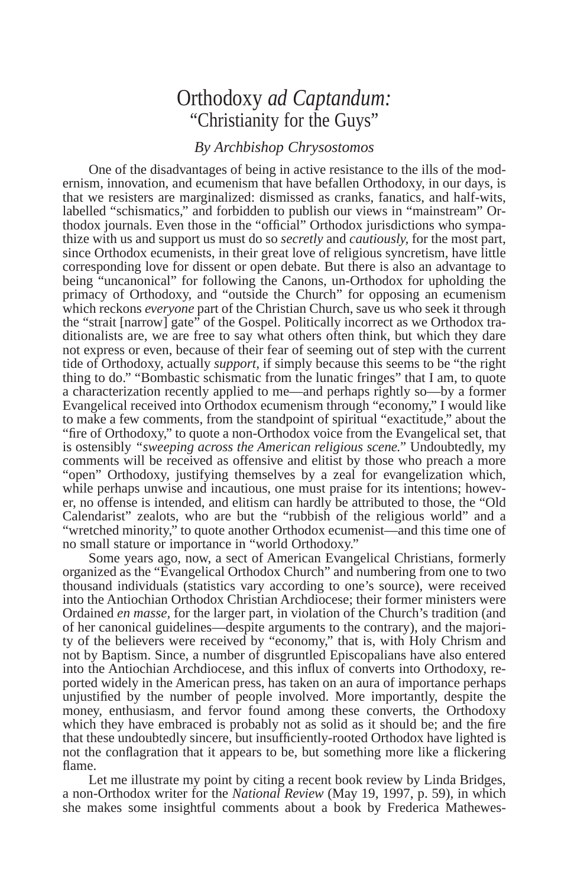## Orthodoxy *ad Captandum:* "Christianity for the Guys"

## *By Archbishop Chrysostomos*

One of the disadvantages of being in active resistance to the ills of the modernism, innovation, and ecumenism that have befallen Orthodoxy, in our days, is that we resisters are marginalized: dismissed as cranks, fanatics, and half-wits, labelled "schismatics," and forbidden to publish our views in "mainstream" Orthodox journals. Even those in the "official" Orthodox jurisdictions who sympathize with us and support us must do so *secretly* and *cautiously,* for the most part, since Orthodox ecumenists, in their great love of religious syncretism, have little corresponding love for dissent or open debate. But there is also an advantage to being "uncanonical" for following the Canons, un-Orthodox for upholding the primacy of Orthodoxy, and "outside the Church" for opposing an ecumenism which reckons *everyone* part of the Christian Church, save us who seek it through the "strait [narrow] gate" of the Gospel. Politically incorrect as we Orthodox traditionalists are, we are free to say what others often think, but which they dare not express or even, because of their fear of seeming out of step with the current tide of Orthodoxy, actually *support,* if simply because this seems to be "the right thing to do." "Bombastic schismatic from the lunatic fringes" that I am, to quote a characterization recently applied to me—and perhaps rightly so—by a former Evangelical received into Orthodox ecumenism through "economy," I would like to make a few comments, from the standpoint of spiritual "exactitude," about the "fire of Orthodoxy," to quote a non-Orthodox voice from the Evangelical set, that is ostensibly *"sweeping across the American religious scene."* Undoubtedly, my comments will be received as offensive and elitist by those who preach a more "open" Orthodoxy, justifying themselves by a zeal for evangelization which, while perhaps unwise and incautious, one must praise for its intentions; however, no offense is intended, and elitism can hardly be attributed to those, the "Old Calendarist" zealots, who are but the "rubbish of the religious world" and a "wretched minority," to quote another Orthodox ecumenist—and this time one of no small stature or importance in "world Orthodoxy."

Some years ago, now, a sect of American Evangelical Christians, formerly organized as the "Evangelical Orthodox Church" and numbering from one to two thousand individuals (statistics vary according to one's source), were received into the Antiochian Orthodox Christian Archdiocese; their former ministers were Ordained *en masse,* for the larger part, in violation of the Church's tradition (and of her canonical guidelines—despite arguments to the contrary), and the majority of the believers were received by "economy," that is, with Holy Chrism and not by Baptism. Since, a number of disgruntled Episcopalians have also entered into the Antiochian Archdiocese, and this influx of converts into Orthodoxy, reported widely in the American press, has taken on an aura of importance perhaps unjustified by the number of people involved. More importantly, despite the money, enthusiasm, and fervor found among these converts, the Orthodoxy which they have embraced is probably not as solid as it should be; and the fire that these undoubtedly sincere, but insufficiently-rooted Orthodox have lighted is not the conflagration that it appears to be, but something more like a flickering flame.

Let me illustrate my point by citing a recent book review by Linda Bridges, a non-Orthodox writer for the *National Review* (May 19, 1997, p. 59)*,* in which she makes some insightful comments about a book by Frederica Mathewes-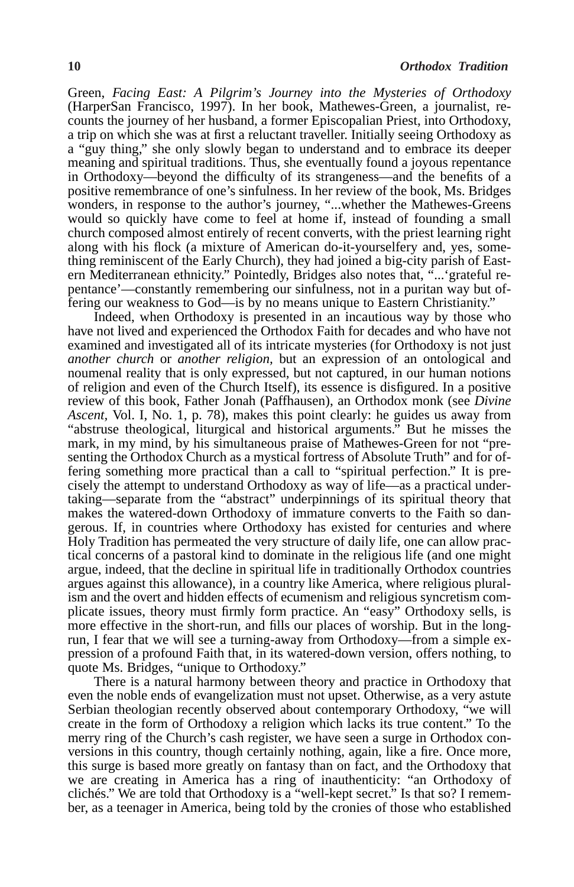Green, *Facing East: A Pilgrim's Journey into the Mysteries of Orthodoxy* (HarperSan Francisco, 1997). In her book, Mathewes-Green, a journalist, recounts the journey of her husband, a former Episcopalian Priest, into Orthodoxy, a trip on which she was at first a reluctant traveller. Initially seeing Orthodoxy as a "guy thing," she only slowly began to understand and to embrace its deeper meaning and spiritual traditions. Thus, she eventually found a joyous repentance in Orthodoxy—beyond the difficulty of its strangeness—and the benefits of a positive remembrance of one's sinfulness. In her review of the book, Ms. Bridges wonders, in response to the author's journey, "...whether the Mathewes-Greens would so quickly have come to feel at home if, instead of founding a small church composed almost entirely of recent converts, with the priest learning right along with his flock (a mixture of American do-it-yourselfery and, yes, something reminiscent of the Early Church), they had joined a big-city parish of Eastern Mediterranean ethnicity." Pointedly, Bridges also notes that, "...'grateful repentance'—constantly remembering our sinfulness, not in a puritan way but offering our weakness to God—is by no means unique to Eastern Christianity."

Indeed, when Orthodoxy is presented in an incautious way by those who have not lived and experienced the Orthodox Faith for decades and who have not examined and investigated all of its intricate mysteries (for Orthodoxy is not just *another church* or *another religion,* but an expression of an ontological and noumenal reality that is only expressed, but not captured, in our human notions of religion and even of the Church Itself), its essence is disfigured. In a positive review of this book, Father Jonah (Paffhausen), an Orthodox monk (see *Divine Ascent,* Vol. I, No. 1, p. 78), makes this point clearly: he guides us away from "abstruse theological, liturgical and historical arguments." But he misses the mark, in my mind, by his simultaneous praise of Mathewes-Green for not "presenting the Orthodox Church as a mystical fortress of Absolute Truth" and for offering something more practical than a call to "spiritual perfection." It is precisely the attempt to understand Orthodoxy as way of life—as a practical undertaking—separate from the "abstract" underpinnings of its spiritual theory that makes the watered-down Orthodoxy of immature converts to the Faith so dangerous. If, in countries where Orthodoxy has existed for centuries and where Holy Tradition has permeated the very structure of daily life, one can allow practical concerns of a pastoral kind to dominate in the religious life (and one might argue, indeed, that the decline in spiritual life in traditionally Orthodox countries argues against this allowance), in a country like America, where religious pluralism and the overt and hidden effects of ecumenism and religious syncretism complicate issues, theory must firmly form practice. An "easy" Orthodoxy sells, is more effective in the short-run, and fills our places of worship. But in the longrun, I fear that we will see a turning-away from Orthodoxy—from a simple expression of a profound Faith that, in its watered-down version, offers nothing, to quote Ms. Bridges, "unique to Orthodoxy."

There is a natural harmony between theory and practice in Orthodoxy that even the noble ends of evangelization must not upset. Otherwise, as a very astute Serbian theologian recently observed about contemporary Orthodoxy, "we will create in the form of Orthodoxy a religion which lacks its true content." To the merry ring of the Church's cash register, we have seen a surge in Orthodox conversions in this country, though certainly nothing, again, like a fire. Once more, this surge is based more greatly on fantasy than on fact, and the Orthodoxy that we are creating in America has a ring of inauthenticity: "an Orthodoxy of clichés." We are told that Orthodoxy is a "well-kept secret." Is that so? I remember, as a teenager in America, being told by the cronies of those who established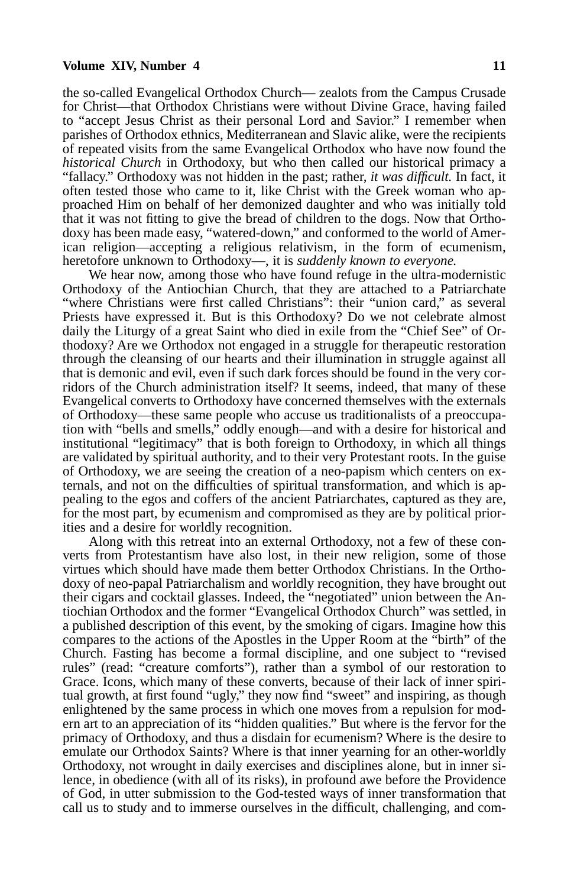## **Volume XIV, Number 4 11**

the so-called Evangelical Orthodox Church— zealots from the Campus Crusade for Christ—that Orthodox Christians were without Divine Grace, having failed to "accept Jesus Christ as their personal Lord and Savior." I remember when parishes of Orthodox ethnics, Mediterranean and Slavic alike, were the recipients of repeated visits from the same Evangelical Orthodox who have now found the *historical Church* in Orthodoxy, but who then called our historical primacy a "fallacy." Orthodoxy was not hidden in the past; rather, *it was difficult.* In fact, it often tested those who came to it, like Christ with the Greek woman who approached Him on behalf of her demonized daughter and who was initially told that it was not fitting to give the bread of children to the dogs. Now that Orthodoxy has been made easy, "watered-down," and conformed to the world of American religion—accepting a religious relativism, in the form of ecumenism, heretofore unknown to Orthodoxy—, it is *suddenly known to everyone.*

We hear now, among those who have found refuge in the ultra-modernistic Orthodoxy of the Antiochian Church, that they are attached to a Patriarchate "where Christians were first called Christians": their "union card," as several Priests have expressed it. But is this Orthodoxy? Do we not celebrate almost daily the Liturgy of a great Saint who died in exile from the "Chief See" of Orthodoxy? Are we Orthodox not engaged in a struggle for therapeutic restoration through the cleansing of our hearts and their illumination in struggle against all that is demonic and evil, even if such dark forces should be found in the very corridors of the Church administration itself? It seems, indeed, that many of these Evangelical converts to Orthodoxy have concerned themselves with the externals of Orthodoxy—these same people who accuse us traditionalists of a preoccupation with "bells and smells," oddly enough—and with a desire for historical and institutional "legitimacy" that is both foreign to Orthodoxy, in which all things are validated by spiritual authority, and to their very Protestant roots. In the guise of Orthodoxy, we are seeing the creation of a neo-papism which centers on externals, and not on the difficulties of spiritual transformation, and which is appealing to the egos and coffers of the ancient Patriarchates, captured as they are, for the most part, by ecumenism and compromised as they are by political priorities and a desire for worldly recognition.

Along with this retreat into an external Orthodoxy, not a few of these converts from Protestantism have also lost, in their new religion, some of those virtues which should have made them better Orthodox Christians. In the Orthodoxy of neo-papal Patriarchalism and worldly recognition, they have brought out their cigars and cocktail glasses. Indeed, the "negotiated" union between the Antiochian Orthodox and the former "Evangelical Orthodox Church" was settled, in a published description of this event, by the smoking of cigars. Imagine how this compares to the actions of the Apostles in the Upper Room at the "birth" of the Church. Fasting has become a formal discipline, and one subject to "revised rules" (read: "creature comforts"), rather than a symbol of our restoration to Grace. Icons, which many of these converts, because of their lack of inner spiritual growth, at first found "ugly," they now find "sweet" and inspiring, as though enlightened by the same process in which one moves from a repulsion for modern art to an appreciation of its "hidden qualities." But where is the fervor for the primacy of Orthodoxy, and thus a disdain for ecumenism? Where is the desire to emulate our Orthodox Saints? Where is that inner yearning for an other-worldly Orthodoxy, not wrought in daily exercises and disciplines alone, but in inner silence, in obedience (with all of its risks), in profound awe before the Providence of God, in utter submission to the God-tested ways of inner transformation that call us to study and to immerse ourselves in the difficult, challenging, and com